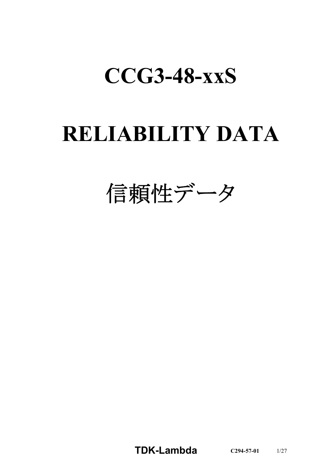# **CCG3-48-xxS**

# **RELIABILITY DATA**

信頼性データ

**TDK-Lambda C294-57-01** 1/27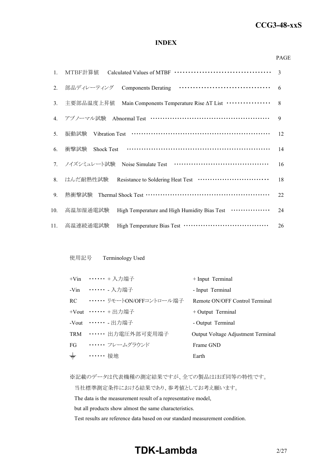## *RWS 50B-600B Series* **CCG3-48-xxS**

#### **INDEX**

#### PAGE

| $1_{\cdot}$ | MTBF計算値                                                                        | 3  |
|-------------|--------------------------------------------------------------------------------|----|
| 2.          | 部品ディレーティング                                                                     | 6  |
| 3.          | Main Components Temperature Rise AT List ················<br>主要部品温度上昇值         | 8  |
| 4.          | アブノーマル試験 Abnormal Test ……………………………………………                                       | 9  |
| 5.          | 振動試験                                                                           | 12 |
| 6.          | 衝撃試験<br><b>Shock Test</b>                                                      | 14 |
|             | 7. ノイズシミュレート試験                                                                 | 16 |
| 8.          | はんだ耐熱性試験 Resistance to Soldering Heat Test ·······························     | 18 |
| 9.          | 熱衝擊試験 Thermal Shock Test …………………………………………………                                   | 22 |
| 10.         | High Temperature and High Humidity Bias Test <b>··············</b><br>高温加湿通電試験 | 24 |
| 11.         | 高温連続通電試験                                                                       | 26 |

#### 使用記号 Terminology Used

|       | +Vin …… + 入力端子                | + Input Terminal                   |
|-------|-------------------------------|------------------------------------|
|       | -Vin ……… 入力端子                 | - Input Terminal                   |
|       | RC ••••••• リモートON/OFFコントロール端子 | Remote ON/OFF Control Terminal     |
|       | +Vout $\cdots \cdots$ + 出力端子  | $+$ Output Terminal                |
|       | -Vout ……. 出力端子                | - Output Terminal                  |
|       | TRM ······ 出力電圧外部可変用端子        | Output Voltage Adjustment Terminal |
| FG    | ・・・・・・・ フレームグラウンド             | Frame GND                          |
| $\pm$ | ・・・・・・ 接地                     | Earth                              |

※記載のデータは代表機種の測定結果ですが、全ての製品はほぼ同等の特性です。

当社標準測定条件における結果であり、参考値としてお考え願います。

The data is the measurement result of a representative model,

but all products show almost the same characteristics.

Test results are reference data based on our standard measurement condition.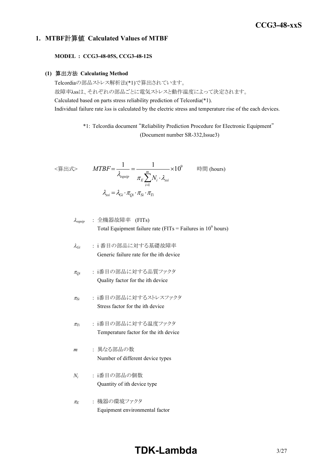## *RWS 50B-600B Series* **CCG3-48-xxS**

#### **1. MTBF**計算値 **Calculated Values of MTBF**

**MODEL : CCG3-48-05S, CCG3-48-12S**

#### **(1)** 算出方法 **Calculating Method**

Telcordiaの部品ストレス解析法(\*1)で算出されています。 故障率λssは、それぞれの部品ごとに電気ストレスと動作温度によって決定されます。 Calculated based on parts stress reliability prediction of Telcordia(\*1). Individual failure rate λss is calculated by the electric stress and temperature rise of the each devices.

> \*1: Telcordia document "Reliability Prediction Procedure for Electronic Equipment" (Document number SR-332,Issue3)

$$
\langle \hat{\mathbf{g}} | \mathbf{H} \mathbf{x} \rangle \qquad MTBF = \frac{1}{\lambda_{\text{equip}}} = \frac{1}{\pi_E \sum_{i=1}^{m} N_i \cdot \lambda_{\text{ssi}}} \times 10^9 \qquad \text{iff } (\text{hours})
$$
\n
$$
\lambda_{\text{ssi}} = \lambda_{\text{Gi}} \cdot \pi_{\text{Qi}} \cdot \pi_{\text{Si}} \cdot \pi_{\text{Ti}}
$$

$$
\lambda_{\text{equip}} : \hat{\pm} \circledR \circledR \circledR \circledR
$$
\n
$$
\lambda_{\text{equip}}
$$
\n
$$
\therefore \hat{\pm} \circledR \circledR
$$
\n
$$
\text{Total Equipment failure rate (FITs = Failure in 109 hours)}
$$

- <sup>l</sup>*Gi* : i 番目の部品に対する基礎故障率 Generic failure rate for the ith device
- <sup>p</sup>*Qi* : i番目の部品に対する品質ファクタ Quality factor for the ith device
- <sup>p</sup>*Si* : i番目の部品に対するストレスファクタ Stress factor for the ith device
- <sup>p</sup>*Ti* : i番目の部品に対する温度ファクタ Temperature factor for the ith device
- *m* : 異なる部品の数 Number of different device types
- *Ni* : i番目の部品の個数 Quantity of ith device type
- <sup>p</sup>*<sup>E</sup>* : 機器の環境ファクタ Equipment environmental factor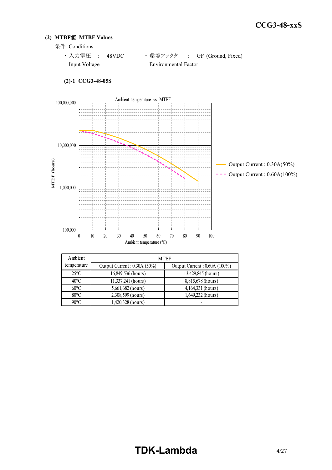#### **(2) MTBF**値 **MTBF Values**

条件 Conditions

```
· 入力電圧 : 48VDC ·環境ファクタ : GF (Ground, Fixed)
Input Voltage Environmental Factor
```


| Ambient        | <b>MTBF</b>                    |                               |  |  |  |
|----------------|--------------------------------|-------------------------------|--|--|--|
| temperature    | Output Current : $0.30A(50\%)$ | Output Current : 0.60A (100%) |  |  |  |
| $25^{\circ}$ C | 16,849,536 (hours)             | 13,429,845 (hours)            |  |  |  |
| $40^{\circ}$ C | 11,337,241 (hours)             | 8,815,678 (hours)             |  |  |  |
| $60^{\circ}$ C | 5,661,682 (hours)              | 4,164,331 (hours)             |  |  |  |
| $80^{\circ}$ C | 2,308,599 (hours)              | 1,649,232 (hours)             |  |  |  |
| $90^{\circ}$ C | 1,420,328 (hours)              |                               |  |  |  |

#### **(2)-1 CCG3-48-05S**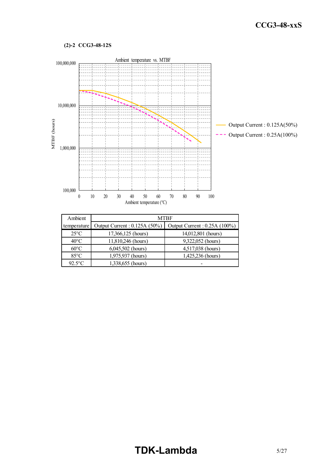#### **(2)-2 CCG3-48-12S**



| Ambient        | <b>MTBF</b>                   |                               |  |  |  |
|----------------|-------------------------------|-------------------------------|--|--|--|
| temperature    | Output Current : 0.125A (50%) | Output Current : 0.25A (100%) |  |  |  |
| $25^{\circ}$ C | 17,366,125 (hours)            | 14,012,801 (hours)            |  |  |  |
| $40^{\circ}$ C | 11,810,246 (hours)            | 9,322,052 (hours)             |  |  |  |
| $60^{\circ}$ C | $6,045,502$ (hours)           | 4,517,038 (hours)             |  |  |  |
| $85^{\circ}$ C | 1,975,937 (hours)             | 1,425,236 (hours)             |  |  |  |
| $92.5$ °C      | 1,338,655 (hours)             |                               |  |  |  |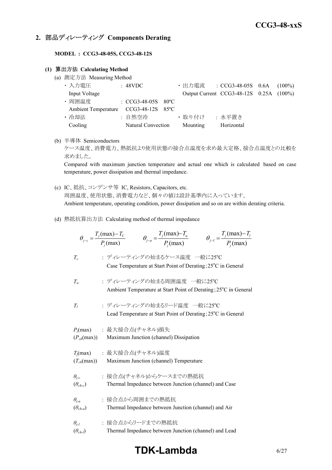### **2.** 部品ディレーティング **Components Derating**

**MODEL : CCG3-48-05S, CCG3-48-12S**

#### **(1)** 算出方法 **Calculating Method**

(a) 測定方法 Measuring Method

| ・入力電圧                                | : 48VDC                        |  |                 | ・出力電流 : CCG3-48-05S 0.6A (100%)         |  |
|--------------------------------------|--------------------------------|--|-----------------|-----------------------------------------|--|
| Input Voltage                        |                                |  |                 | Output Current CCG3-48-12S 0.25A (100%) |  |
| ・周囲温度                                | $\therefore$ CCG3-48-05S 80 °C |  |                 |                                         |  |
| Ambient Temperature CCG3-48-12S 85°C |                                |  |                 |                                         |  |
| ・ 冷却法                                | : 自然空冷                         |  | ・ 取り付け ― : 水平置き |                                         |  |
| Cooling                              | Natural Convection             |  | Mounting        | Horizontal                              |  |

(b) 半導体 Semiconductors

ケース温度、消費電力、熱抵抗より使用状態の接合点温度を求め最大定格、接合点温度との比較を 求めました。

Compared with maximum junction temperature and actual one which is calculated based on case temperature, power dissipation and thermal impedance.

- (c) IC、抵抗、コンデンサ等 IC, Resistors, Capacitors, etc. 周囲温度、使用状態、消費電力など、個々の値は設計基準内に入っています。 Ambient temperature, operating condition, power dissipation and so on are within derating criteria.
- (d) 熱抵抗算出方法 Calculating method of thermal impedance

|                                     | $\theta_{j-c} = \frac{T_j(\text{max}) - T_c}{P_i(\text{max})}$ $\theta_{j-a} = \frac{T_j(\text{max}) - T_a}{P_i(\text{max})}$ | $\theta_{j-l} = \frac{T_j(\text{max}) - T_l}{P_j(\text{max})}$ |
|-------------------------------------|-------------------------------------------------------------------------------------------------------------------------------|----------------------------------------------------------------|
| $T_c$                               | : ディレーティングの始まるケース温度 一般に25℃<br>Case Temperature at Start Point of Derating; 25°C in General                                    |                                                                |
| $T_a$                               | : ディレーティングの始まる周囲温度 一般に25℃<br>Ambient Temperature at Start Point of Derating; 25°C in General                                  |                                                                |
| $T_I$                               | : ディレーティングの始まるリード温度 一般に25℃<br>Lead Temperature at Start Point of Derating; 25°C in General                                    |                                                                |
| $(P_{ch}(\text{max}))$              | $P_i$ (max) : 最大接合点(チャネル)損失<br>Maximum Junction (channel) Dissipation                                                         |                                                                |
| $(T_{ch}(\text{max}))$              | $T_j$ (max) : 最大接合点(チャネル)温度<br>Maximum Junction (channel) Temperature                                                         |                                                                |
| $\theta_{i-c}$<br>$(\theta_{ch-c})$ | : 接合点(チャネル)からケースまでの熱抵抗<br>Thermal Impedance between Junction (channel) and Case                                               |                                                                |
| $\theta_{j-a}$<br>$(\theta_{ch-a})$ | : 接合点から周囲までの熱抵抗<br>Thermal Impedance between Junction (channel) and Air                                                       |                                                                |
| $\theta_{i-l}$<br>$(\theta_{ch-l})$ | : 接合点からリードまでの熱抵抗<br>Thermal Impedance between Junction (channel) and Lead                                                     |                                                                |

## **TDK-Lambda** 6/27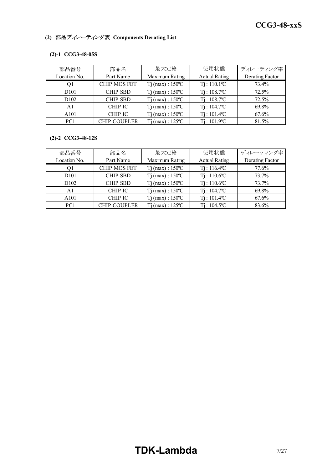### **(2)** 部品ディレーティング表 **Components Derating List**

#### **(2)-1 CCG3-48-05S**

| 部品番号             | 部品名                 | 最大定格                         |                            | ディレーティング率       |
|------------------|---------------------|------------------------------|----------------------------|-----------------|
| Location No.     | Part Name           | Maximum Rating               | <b>Actual Rating</b>       | Derating Factor |
|                  | <b>CHIP MOS FET</b> | $Tj$ (max) : $150^{\circ}$ C | $Ti: 110.1$ <sup>o</sup> C | 73.4%           |
| D <sub>101</sub> | <b>CHIP SBD</b>     | $Tj$ (max) : $150^{\circ}$ C | $Ti: 108.7$ <sup>o</sup> C | 72.5%           |
| D <sub>102</sub> | <b>CHIP SBD</b>     | $Tj$ (max) : $150^{\circ}$ C | $Ti: 108.7$ <sup>o</sup> C | 72.5%           |
| A1               | CHIP IC             | $Tj$ (max) : $150^{\circ}$ C | $Ti: 104.7$ <sup>o</sup> C | 69.8%           |
| A <sub>101</sub> | <b>CHIP IC</b>      | $Tj$ (max) : $150^{\circ}$ C | $Ti: 101.4$ <sup>o</sup> C | 67.6%           |
| PC <sub>1</sub>  | <b>CHIP COUPLER</b> | $Ti$ (max) : 125 °C          | Ti : 101.9°C               | 81.5%           |

#### **(2)-2 CCG3-48-12S**

| 部品番号             | 部品名                 | 最大定格                         | 使用状態                       | ディレーティング率       |
|------------------|---------------------|------------------------------|----------------------------|-----------------|
| Location No.     | Part Name           | Maximum Rating               | <b>Actual Rating</b>       | Derating Factor |
|                  | <b>CHIP MOS FET</b> | $Tj$ (max) : $150^{\circ}$ C | $Ti: 116.4$ <sup>o</sup> C | 77.6%           |
| D <sub>101</sub> | <b>CHIP SBD</b>     | $Tj$ (max) : $150^{\circ}$ C | $Ti: 110.6$ °C             | 73.7%           |
| D <sub>102</sub> | <b>CHIP SBD</b>     | $Tj$ (max) : 150 °C          | $Ti: 110.6$ <sup>o</sup> C | 73.7%           |
| A1               | CHIP IC             | $Ti$ (max) : $150^{\circ}$ C | $Ti: 104.7$ <sup>o</sup> C | 69.8%           |
| A101             | <b>CHIP IC</b>      | $Tj$ (max) : 150 °C          | $Ti: 101.4$ <sup>o</sup> C | 67.6%           |
| PC <sub>1</sub>  | CHIP COUPLER        | $Ti$ (max) : 125 °C          | $Ti: 104.5^{\circ}C$       | 83.6%           |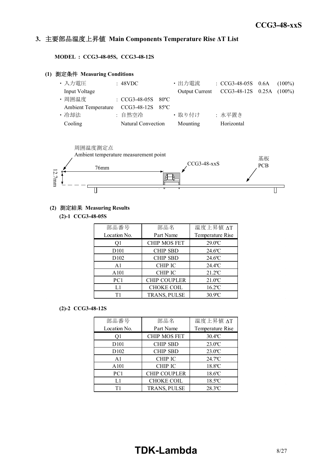#### *INSTRUCTION MANUAL* **3.** 主要部品温度上昇値 **Main Components Temperature Rise ΔT List**

**MODEL : CCG3-48-05S, CCG3-48-12S**

#### **(1)** 測定条件 **Measuring Conditions**

| ・入力電圧                                | : 48VDC               |  | ・出力電流    | : $CCG3-48-05S$ 0.6A                    | $(100\%)$ |
|--------------------------------------|-----------------------|--|----------|-----------------------------------------|-----------|
| Input Voltage                        |                       |  |          | Output Current CCG3-48-12S 0.25A (100%) |           |
| ・周囲温度                                | : $CCG3-48-05S$ 80 °C |  |          |                                         |           |
| Ambient Temperature CCG3-48-12S 85°C |                       |  |          |                                         |           |
| • 冷却法                                | : 自然空冷                |  | ・取り付け    | : 水平置き                                  |           |
| Cooling                              | Natural Convection    |  | Mounting | Horizontal                              |           |



#### **(2)** 測定結果 **Measuring Results**

**(2)-1 CCG3-48-05S**

| 部品番号              | 部品名                 | 温度上昇值 ΔT              |
|-------------------|---------------------|-----------------------|
| Location No.      | Part Name           | Temperature Rise      |
| Οl                | <b>CHIP MOS FET</b> | $29.0$ <sup>o</sup> C |
| D <sub>10</sub> 1 | <b>CHIP SBD</b>     | $24.6$ °C             |
| D <sub>102</sub>  | <b>CHIP SBD</b>     | $24.6$ °C             |
| A <sub>1</sub>    | <b>CHIP IC</b>      | $24.4$ <sup>o</sup> C |
| A101              | <b>CHIP IC</b>      | $21.2^{\circ}$ C      |
| PC1               | <b>CHIP COUPLER</b> | $21.0$ <sup>o</sup> C |
| L1                | <b>CHOKE COIL</b>   | $16.2$ °C             |
| Τ1                | TRANS, PULSE        | $30.9$ °C             |

#### **(2)-2 CCG3-48-12S**

| 部品番号              | 部品名                 | 温度上昇值 ΔT              |
|-------------------|---------------------|-----------------------|
| Location No.      | Part Name           | Temperature Rise      |
| Оl                | <b>CHIP MOS FET</b> | $30.4$ <sup>o</sup> C |
| D <sub>10</sub> 1 | <b>CHIP SBD</b>     | $23.0$ <sup>o</sup> C |
| D <sub>102</sub>  | <b>CHIP SBD</b>     | $23.0^{\circ}$ C      |
| A <sub>1</sub>    | <b>CHIP IC</b>      | $24.7$ <sup>o</sup> C |
| A101              | <b>CHIP IC</b>      | 18.8°C                |
| PC1               | <b>CHIP COUPLER</b> | $18.6$ °C             |
| L1                | <b>CHOKE COIL</b>   | $18.5$ <sup>o</sup> C |
| Τ1                | TRANS, PULSE        | 28.3°C                |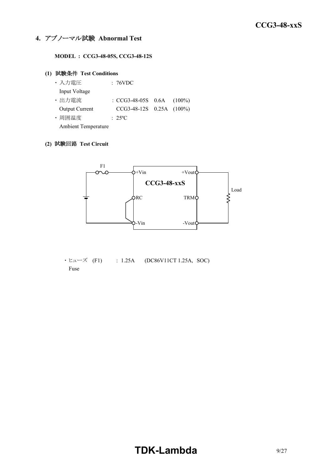#### **4.** アブノーマル試験 **Abnormal Test**

**MODEL : CCG3-48-05S, CCG3-48-12S**

#### **(1)** 試験条件 **Test Conditions**

| ・入力電圧                      | : 76VDC                        |  |
|----------------------------|--------------------------------|--|
| Input Voltage              |                                |  |
| · 出力電流                     | : $CCG3-48-05S$ 0.6A $(100\%)$ |  |
| Output Current             | CCG3-48-12S 0.25A (100%)       |  |
| ・周囲温度                      | $: 25^{\circ}$ C               |  |
| <b>Ambient Temperature</b> |                                |  |

#### **(2)** 試験回路 **Test Circuit**



 $\cdot$  ヒューズ (F1) : 1.25A (DC86V11CT 1.25A, SOC) Fuse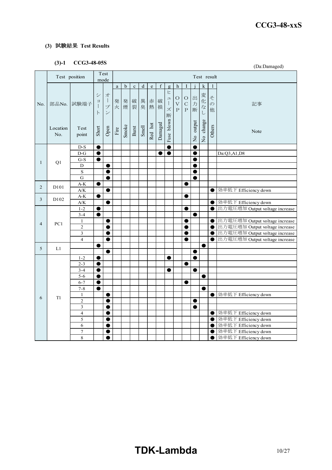#### **(3)** 試験結果 **Test Results**

### **(3)-1 CCG3-48-05S**

|                | (J)-1            | <b>CCG3-40-055</b>                    |                                                          |                                                                 |          |             |             |           |                                                                                |         |                                              |                                                    |                                     |                          |             |                         | (Da:Damaged)                                 |
|----------------|------------------|---------------------------------------|----------------------------------------------------------|-----------------------------------------------------------------|----------|-------------|-------------|-----------|--------------------------------------------------------------------------------|---------|----------------------------------------------|----------------------------------------------------|-------------------------------------|--------------------------|-------------|-------------------------|----------------------------------------------|
|                |                  | Test position                         |                                                          | Test<br>mode                                                    |          |             |             |           |                                                                                |         |                                              |                                                    |                                     |                          | Test result |                         |                                              |
|                |                  |                                       |                                                          |                                                                 | $\rm{a}$ | $\mathbf b$ | $\mathbf c$ | ${\rm d}$ | $\mathbf{e}% _{B}=\mathbf{e}_{B}+\mathbf{e}_{B}+\mathbf{e}_{B}+\mathbf{e}_{B}$ | f       | $\mathbf{g}$                                 | h                                                  | I                                   |                          | k           | 1                       |                                              |
| No.            | 部品No.            | 試験端子                                  | $\ddot{\checkmark}$<br>$\Xi$<br>$\mathbf{I}$<br>$\vdash$ | 才<br>$\mathcal{I}$<br>$\mathcal{I}$<br>$\overline{\phantom{a}}$ |          | 発 発<br>火 煙  | 破裂          | 異<br>臭    | 赤<br>熱                                                                         | 破<br>損  | ヒ<br>그<br>$\bigl] \hspace{0.02in}$<br>ズ<br>断 | $\circ$<br>$\boldsymbol{\nabla}$<br>$\overline{P}$ | $\circ$<br>$\mathcal{C}$<br>$\rm P$ | 出力<br>断                  | 変化なし        | そ<br>$\mathcal{O}$<br>他 | 記事                                           |
|                | Location<br>No.  | Test<br>point                         | Short                                                    | Open                                                            | Fire     | Smoke       | Burst       | Smell     | Red hot                                                                        | Damaged | Fuse blown                                   |                                                    |                                     | output<br>$\overline{R}$ | No change   | Others                  | Note                                         |
|                |                  | $D-S$                                 | $\bullet$                                                |                                                                 |          |             |             |           |                                                                                |         | $\bullet$                                    |                                                    |                                     | e                        |             |                         |                                              |
|                |                  | $D-G$                                 | $\bullet$                                                |                                                                 |          |             |             |           |                                                                                | O       | $\bullet$                                    |                                                    |                                     | 0                        |             |                         | Da:Q3,A1,D8                                  |
| $\mathbf{1}$   | Q1               | $G-S$                                 | ●                                                        |                                                                 |          |             |             |           |                                                                                |         |                                              |                                                    |                                     | C                        |             |                         |                                              |
|                |                  | D                                     |                                                          | $\bullet$                                                       |          |             |             |           |                                                                                |         |                                              |                                                    |                                     | e                        |             |                         |                                              |
|                |                  | $\rm S$                               |                                                          | $\bullet$                                                       |          |             |             |           |                                                                                |         |                                              |                                                    |                                     | 0                        |             |                         |                                              |
|                |                  | $\mathbf G$                           |                                                          |                                                                 |          |             |             |           |                                                                                |         |                                              |                                                    |                                     | O                        |             |                         |                                              |
| 2              | D101             | $A-K$                                 | $\bullet$                                                |                                                                 |          |             |             |           |                                                                                |         |                                              |                                                    | ●                                   |                          |             |                         |                                              |
|                |                  | $\mathbf{A} / \mathbf{K}$             |                                                          | $\bullet$                                                       |          |             |             |           |                                                                                |         |                                              |                                                    |                                     |                          |             | $\bullet$               | 効率低下 Efficiency down                         |
| $\mathfrak{Z}$ | D <sub>102</sub> | $\mathbf{A}\text{-}\mathbf{K}$<br>A/K |                                                          | $\bullet$                                                       |          |             |             |           |                                                                                |         |                                              |                                                    |                                     |                          |             | 0                       | 効率低下 Efficiency down                         |
|                |                  | $1 - 2$                               |                                                          |                                                                 |          |             |             |           |                                                                                |         |                                              |                                                    |                                     |                          |             | $\bullet$               | 出力電圧増加 Output voltage increase               |
|                |                  | $3 - 4$                               |                                                          |                                                                 |          |             |             |           |                                                                                |         |                                              |                                                    |                                     | O                        |             |                         |                                              |
|                |                  | $\mathbf{1}$                          |                                                          | $\bullet$                                                       |          |             |             |           |                                                                                |         |                                              |                                                    | e                                   |                          |             | 0                       | 出力電圧増加 Output voltage increase               |
| $\overline{4}$ | PC1              | $\overline{c}$                        |                                                          | $\bullet$                                                       |          |             |             |           |                                                                                |         |                                              |                                                    | e                                   |                          |             | $\bullet$               | 出力電圧増加 Output voltage increase               |
|                |                  | 3                                     |                                                          | 0                                                               |          |             |             |           |                                                                                |         |                                              |                                                    |                                     |                          |             | ●                       | 出力電圧増加 Output voltage increase               |
|                |                  | $\overline{\mathbf{4}}$               |                                                          | $\bullet$                                                       |          |             |             |           |                                                                                |         |                                              |                                                    | $\bullet$                           |                          |             | $\bullet$               | 出力電圧増加 Output voltage increase               |
|                |                  |                                       | $\bullet$                                                |                                                                 |          |             |             |           |                                                                                |         |                                              |                                                    |                                     |                          | $\bullet$   |                         |                                              |
| 5              | L1               |                                       |                                                          |                                                                 |          |             |             |           |                                                                                |         |                                              |                                                    |                                     | ●                        |             |                         |                                              |
|                |                  | $1 - 2$                               | $\bullet$                                                |                                                                 |          |             |             |           |                                                                                |         | $\bullet$                                    |                                                    |                                     | $\bullet$                |             |                         |                                              |
|                |                  | $2 - 3$                               | $\bullet$                                                |                                                                 |          |             |             |           |                                                                                |         |                                              |                                                    | 0                                   |                          |             |                         |                                              |
|                |                  | $3 - 4$                               |                                                          |                                                                 |          |             |             |           |                                                                                |         | œ                                            |                                                    |                                     | O                        |             |                         |                                              |
|                |                  | $5 - 6$                               | $\bullet$                                                |                                                                 |          |             |             |           |                                                                                |         |                                              |                                                    |                                     |                          | $\bullet$   |                         |                                              |
|                |                  | $6 - 7$                               | $\bullet$                                                |                                                                 |          |             |             |           |                                                                                |         |                                              |                                                    | 0                                   |                          |             |                         |                                              |
|                |                  | $7 - 8$                               | ●                                                        |                                                                 |          |             |             |           |                                                                                |         |                                              |                                                    |                                     |                          |             |                         |                                              |
| 6              | T1               | $\mathbf{1}$                          |                                                          | $\bullet$                                                       |          |             |             |           |                                                                                |         |                                              |                                                    |                                     |                          |             | $\bullet$               | 効率低下 Efficiency down                         |
|                |                  | $\overline{c}$                        |                                                          | $\bullet$                                                       |          |             |             |           |                                                                                |         |                                              |                                                    |                                     | 0                        |             |                         |                                              |
|                |                  | $\overline{\mathbf{3}}$               |                                                          | ●                                                               |          |             |             |           |                                                                                |         |                                              |                                                    |                                     | 0                        |             |                         |                                              |
|                |                  | $\overline{\mathbf{4}}$               |                                                          | $\bullet$                                                       |          |             |             |           |                                                                                |         |                                              |                                                    |                                     |                          |             | $\bullet$               | 効率低下 Efficiency down                         |
|                |                  | 5                                     |                                                          | 0                                                               |          |             |             |           |                                                                                |         |                                              |                                                    |                                     |                          |             | $\bullet$               | 効率低下 Efficiency down                         |
|                |                  | 6                                     |                                                          | ●                                                               |          |             |             |           |                                                                                |         |                                              |                                                    |                                     |                          |             | ●                       | 効率低下 Efficiency down                         |
|                |                  | $\tau$<br>8                           |                                                          | $\bullet$<br>●                                                  |          |             |             |           |                                                                                |         |                                              |                                                    |                                     |                          |             | 0<br>$\bullet$          | 効率低下 Efficiency down<br>効率低下 Efficiency down |
|                |                  |                                       |                                                          |                                                                 |          |             |             |           |                                                                                |         |                                              |                                                    |                                     |                          |             |                         |                                              |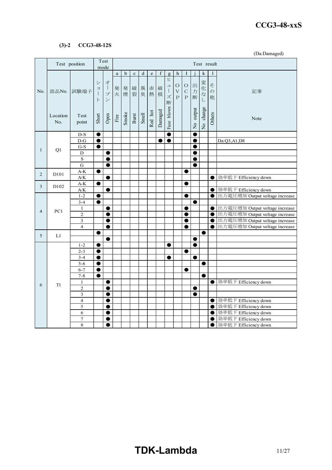#### *RWS 50B-600B Series* **CCG3-48-xxS**

#### **(3)-2 CCG3-48-12S**

(Da:Damaged)

|                | Test position     |                                                  |                                | Test<br>mode                             |                       |             |                                  |           |                                                                                |         |                                               |                                          |                                              |                          |           | Test result              |                                |  |  |  |
|----------------|-------------------|--------------------------------------------------|--------------------------------|------------------------------------------|-----------------------|-------------|----------------------------------|-----------|--------------------------------------------------------------------------------|---------|-----------------------------------------------|------------------------------------------|----------------------------------------------|--------------------------|-----------|--------------------------|--------------------------------|--|--|--|
|                |                   |                                                  |                                |                                          | $\mathbf{a}$          | $\mathbf b$ | $\mathbf c$                      | ${\rm d}$ | $\mathbf{e}% _{B}=\mathbf{e}_{B}+\mathbf{e}_{B}+\mathbf{e}_{B}+\mathbf{e}_{B}$ | f       | g                                             | $\,$ h                                   | I                                            |                          | k         |                          |                                |  |  |  |
| No.            |                   | 部品No. 試験端子                                       | シ<br>$\equiv$<br>Ť<br>$\vdash$ | 才<br>$\overline{1}$<br>プ<br>$\checkmark$ | 発<br>火                | 発<br>煙      | 破<br>裂                           | 異<br>臭    | 赤<br>熱                                                                         | 破<br>損  | $\overline{E}$<br>그<br>$\mathbb{L}$<br>ズ<br>断 | $\circ$<br>$\bar{\mathrm{V}}$<br>$\rm P$ | $\bigcirc$<br>$\mathsf{C}$<br>$\overline{P}$ | 出力<br>断                  | 変化なし      | そ<br>$\overline{O}$<br>他 | 記事                             |  |  |  |
|                | Location<br>No.   | Test<br>point                                    | Short                          | Open                                     | $\operatorname{Fire}$ | Smoke       | $_{\mbox{\footnotesize{Burst}}}$ | Smell     | Red hot                                                                        | Damaged | Fuse blown                                    |                                          |                                              | output<br>$\overline{z}$ | No change | Others                   | Note                           |  |  |  |
|                |                   | $D-S$                                            | $\bullet$                      |                                          |                       |             |                                  |           |                                                                                |         | $\bullet$                                     |                                          |                                              | C                        |           |                          |                                |  |  |  |
|                |                   | $D-G$                                            | $\bullet$                      |                                          |                       |             |                                  |           |                                                                                | ●       | $\bullet$                                     |                                          |                                              | e                        |           |                          | Da:Q3,A1,D8                    |  |  |  |
| $\mathbf{1}$   | Q1                | $G-S$                                            | $\bullet$                      |                                          |                       |             |                                  |           |                                                                                |         |                                               |                                          |                                              | e                        |           |                          |                                |  |  |  |
|                |                   | D                                                |                                | ●                                        |                       |             |                                  |           |                                                                                |         |                                               |                                          |                                              | 0                        |           |                          |                                |  |  |  |
|                |                   | $\rm S$                                          |                                |                                          |                       |             |                                  |           |                                                                                |         |                                               |                                          |                                              |                          |           |                          |                                |  |  |  |
|                |                   | $\mathbf G$                                      |                                | ●                                        |                       |             |                                  |           |                                                                                |         |                                               |                                          |                                              | e                        |           |                          |                                |  |  |  |
| $\overline{2}$ | D <sub>10</sub> 1 | $\mathbf{A}\text{-}\mathbf{K}$                   | 0                              |                                          |                       |             |                                  |           |                                                                                |         |                                               |                                          |                                              |                          |           |                          | 効率低下 Efficiency down           |  |  |  |
|                |                   | $\mathbf{A/K}$<br>$\mathbf{A}\text{-}\mathbf{K}$ | $\bullet$                      |                                          |                       |             |                                  |           |                                                                                |         |                                               |                                          | ●                                            |                          |           | $\bullet$                |                                |  |  |  |
| 3              | D <sub>102</sub>  | $A/K$                                            |                                | ●                                        |                       |             |                                  |           |                                                                                |         |                                               |                                          |                                              |                          |           | $\bullet$                | 効率低下 Efficiency down           |  |  |  |
|                |                   | $1-2$                                            | $\bullet$                      |                                          |                       |             |                                  |           |                                                                                |         |                                               |                                          | e                                            |                          |           | $\bullet$                | 出力電圧増加 Output voltage increase |  |  |  |
|                |                   | $3 - 4$                                          | $\bullet$                      |                                          |                       |             |                                  |           |                                                                                |         |                                               |                                          |                                              | e                        |           |                          |                                |  |  |  |
|                |                   | $\mathbf{1}$                                     |                                |                                          |                       |             |                                  |           |                                                                                |         |                                               |                                          |                                              |                          |           | ●                        | 出力電圧増加 Output voltage increase |  |  |  |
| $\overline{4}$ | PC1               | $\overline{2}$                                   |                                | O                                        |                       |             |                                  |           |                                                                                |         |                                               |                                          |                                              |                          |           | 0                        | 出力電圧増加 Output voltage increase |  |  |  |
|                |                   | 3                                                |                                | ●                                        |                       |             |                                  |           |                                                                                |         |                                               |                                          |                                              |                          |           | $\bullet$                | 出力電圧増加 Output voltage increase |  |  |  |
|                |                   | $\overline{4}$                                   |                                | $\bullet$                                |                       |             |                                  |           |                                                                                |         |                                               |                                          | O                                            |                          |           | $\bullet$                | 出力電圧増加 Output voltage increase |  |  |  |
| 5              | L1                |                                                  | 0                              |                                          |                       |             |                                  |           |                                                                                |         |                                               |                                          |                                              |                          | $\bullet$ |                          |                                |  |  |  |
|                |                   |                                                  |                                |                                          |                       |             |                                  |           |                                                                                |         |                                               |                                          |                                              | 0                        |           |                          |                                |  |  |  |
|                |                   | $1 - 2$                                          | $\bullet$                      |                                          |                       |             |                                  |           |                                                                                |         | $\bullet$                                     |                                          |                                              | $\bullet$                |           |                          |                                |  |  |  |
|                |                   | $2 - 3$                                          | $\bullet$                      |                                          |                       |             |                                  |           |                                                                                |         |                                               |                                          |                                              |                          |           |                          |                                |  |  |  |
|                |                   | $3 - 4$                                          | ●                              |                                          |                       |             |                                  |           |                                                                                |         |                                               |                                          |                                              | Œ                        |           |                          |                                |  |  |  |
|                |                   | $\overline{5-6}$                                 | $\bullet$                      |                                          |                       |             |                                  |           |                                                                                |         |                                               |                                          |                                              |                          | ●         |                          |                                |  |  |  |
|                |                   | $6 - 7$                                          | $\bullet$                      |                                          |                       |             |                                  |           |                                                                                |         |                                               |                                          |                                              |                          |           |                          |                                |  |  |  |
|                |                   | $7 - 8$                                          | $\bullet$                      |                                          |                       |             |                                  |           |                                                                                |         |                                               |                                          |                                              |                          | $\bullet$ |                          |                                |  |  |  |
| 6              | T <sub>1</sub>    | $\mathbf{1}$<br>$\overline{c}$                   |                                | $\bullet$<br>●                           |                       |             |                                  |           |                                                                                |         |                                               |                                          |                                              |                          |           |                          | ● 効率低下 Efficiency down         |  |  |  |
|                |                   | 3                                                |                                | ●                                        |                       |             |                                  |           |                                                                                |         |                                               |                                          |                                              | 0<br>e                   |           |                          |                                |  |  |  |
|                |                   | $\overline{4}$                                   |                                |                                          |                       |             |                                  |           |                                                                                |         |                                               |                                          |                                              |                          |           | $\bullet$                | 効率低下 Efficiency down           |  |  |  |
|                |                   | 5                                                |                                | ●                                        |                       |             |                                  |           |                                                                                |         |                                               |                                          |                                              |                          |           | 0                        | 効率低下 Efficiency down           |  |  |  |
|                |                   | 6                                                |                                | $\bullet$                                |                       |             |                                  |           |                                                                                |         |                                               |                                          |                                              |                          |           | $\bullet$                | 効率低下 Efficiency down           |  |  |  |
|                |                   | $\overline{7}$                                   |                                |                                          |                       |             |                                  |           |                                                                                |         |                                               |                                          |                                              |                          |           | O                        | 効率低下 Efficiency down           |  |  |  |
|                |                   | 8                                                |                                |                                          |                       |             |                                  |           |                                                                                |         |                                               |                                          |                                              |                          |           | ●                        | 効率低下 Efficiency down           |  |  |  |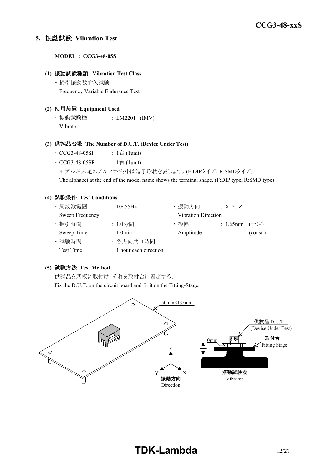#### **5.** 振動試験 **Vibration Test**

**MODEL : CCG3-48-05S**

#### **(1)** 振動試験種類 **Vibration Test Class**

・ 掃引振動数耐久試験 Frequency Variable Endurance Test

#### **(2)** 使用装置 **Equipment Used**

・ 振動試験機 : EM2201 (IMV) Vibrator

#### **(3)** 供試品台数 **The Number of D.U.T. (Device Under Test)**

- CCG3-48-05SF :  $1 \oplus (1$ unit)
- $CCG3-48-05SR$  :  $1 \triangleq$  (1unit)
	- モデル名末尾のアルファベットは端子形状を表します。(F:DIPタイプ、R:SMDタイプ)

The alphabet at the end of the model name shows the terminal shape. (F:DIP type, R:SMD type)

#### **(4)** 試験条件 **Test Conditions**

| ・周波数範囲           | : $10 - 55$ Hz        | ・振動方向                      | : X, Y, Z         |          |
|------------------|-----------------------|----------------------------|-------------------|----------|
| Sweep Frequency  |                       | <b>Vibration Direction</b> |                   |          |
| · 掃引時間           | : 1.0分間               | ・振幅                        | : 1.65mm $(-\pm)$ |          |
| Sweep Time       | $1.0$ min             | Amplitude                  |                   | (const.) |
| · 試験時間           | : 各方向共 1時間            |                            |                   |          |
| <b>Test Time</b> | 1 hour each direction |                            |                   |          |

#### **(5)** 試験方法 **Test Method**

供試品を基板に取付け、それを取付台に固定する。

Fix the D.U.T. on the circuit board and fit it on the Fitting-Stage.

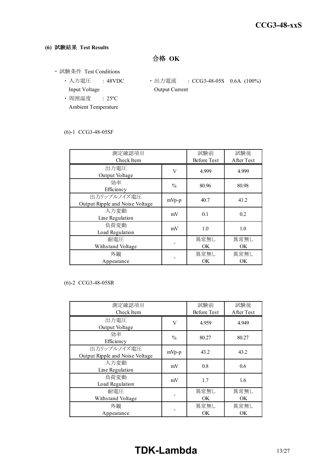#### **(6)** 試験結果 **Test Results**

合格 **OK**

- ・ 試験条件 Test Conditions
	- Input Voltage **Output Current**
	- ・ 周囲温度 : 25ºC Ambient Temperature
	- 入力電圧 : 48VDC 出力電流 : CCG3-48-05S 0.6A (100%)

#### (6)-1 CCG3-48-05SF

| 測定確認項目<br>Check Item                           |               | 試験前<br><b>Before Test</b> | 試験後<br>After Test |
|------------------------------------------------|---------------|---------------------------|-------------------|
| 出力電圧<br>Output Voltage                         | V             | 4.999                     | 4.999             |
| 効率<br>Efficiency                               | $\frac{0}{0}$ | 80.96                     | 80.98             |
| 出力リップルノイズ電圧<br>Output Ripple and Noise Voltage | $mVp-p$       | 40.7                      | 41.2              |
| 入力変動<br>Line Regulation                        | mV            | 0.1                       | 0.2               |
| 負荷変動<br>Load Regulation                        | mV            | 1.0                       | 1.0               |
| 耐電圧<br>Withstand Voltage                       |               | 異常無し<br><b>OK</b>         | 異常無し<br>OK.       |
| 外観<br>Appearance                               |               | 異常無し<br><b>OK</b>         | 異常無し<br>OK        |

#### (6)-2 CCG3-48-05SR

| 測定確認項目<br>Check Item                           |               | 試験前<br><b>Before Test</b> | 試験後<br>After Test |
|------------------------------------------------|---------------|---------------------------|-------------------|
| 出力電圧<br>Output Voltage                         | V             | 4.959                     | 4.949             |
| 効率<br>Efficiency                               | $\frac{0}{0}$ | 80.27                     | 80.27             |
| 出力リップルノイズ電圧<br>Output Ripple and Noise Voltage | mVp-p         | 43.2                      | 43.2              |
| 入力変動<br>Line Regulation                        | mV            | 0.8                       | 0.6               |
| 負荷変動<br>Load Regulation                        | mV            | 1.7                       | 1.6               |
| 耐電圧<br>Withstand Voltage                       |               | 異常無し<br>OK.               | 異常無し<br>OK.       |
| 外観<br>Appearance                               |               | 異常無し<br><b>OK</b>         | 異常無し<br>OK.       |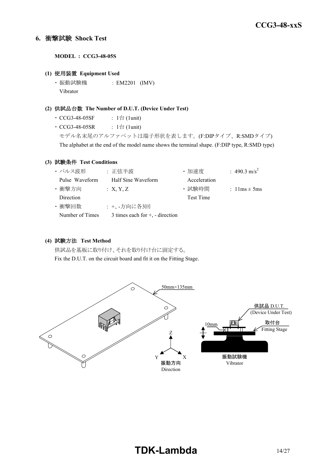#### **6.** 衝撃試験 **Shock Test**

**MODEL : CCG3-48-05S**

#### **(1)** 使用装置 **Equipment Used**

・ 振動試験機 : EM2201 (IMV) Vibrator

#### **(2)** 供試品台数 **The Number of D.U.T. (Device Under Test)**

- $\cdot$  CCG3-48-05SF : 1台 (1unit)
- $CCG3-48-05SR$  :  $1 \triangleq (1unit)$

モデル名末尾のアルファベットは端子形状を表します。(F:DIPタイプ、R:SMDタイプ) The alphabet at the end of the model name shows the terminal shape. (F:DIP type, R:SMD type)

#### **(3)** 試験条件 **Test Conditions**

| ・パルス波形          | :正弦半波                              | ・加速度             | : 490.3 m/s <sup>2</sup>         |
|-----------------|------------------------------------|------------------|----------------------------------|
| Pulse Waveform  | Half Sine Waveform                 | Acceleration     |                                  |
| ・衝撃方向           | : X, Y, Z                          | · 試験時間           | : $1 \text{lms} \pm 5 \text{ms}$ |
| Direction       |                                    | <b>Test Time</b> |                                  |
| ・衝撃回数           | : +、-方向に各3回                        |                  |                                  |
| Number of Times | 3 times each for $+$ , - direction |                  |                                  |

#### **(4)** 試験方法 **Test Method**

供試品を基板に取り付け、それを取り付け台に固定する。 Fix the D.U.T. on the circuit board and fit it on the Fitting Stage.

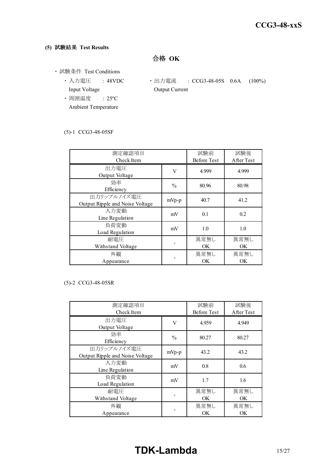#### **(5)** 試験結果 **Test Results**

合格 **OK**

- ・ 試験条件 Test Conditions
	- Input Voltage **Output Current**
	- ・ 周囲温度 : 25ºC Ambient Temperature
	- 入力電圧 : 48VDC 出力電流 : CCG3-48-05S 0.6A (100%)

#### (5)-1 CCG3-48-05SF

| 測定確認項目                          |               | 試験前                | 試験後        |  |
|---------------------------------|---------------|--------------------|------------|--|
| Check Item                      |               | <b>Before Test</b> | After Test |  |
| 出力電圧                            | V             | 4.999              | 4.999      |  |
| Output Voltage                  |               |                    |            |  |
| 効率                              | $\frac{0}{0}$ | 80.96              | 80.98      |  |
| Efficiency                      |               |                    |            |  |
| 出力リップルノイズ電圧                     | mVp-p         | 40.7               | 41.2       |  |
| Output Ripple and Noise Voltage |               |                    |            |  |
| 入力変動                            | mV            | 0.1                | 0.2        |  |
| Line Regulation                 |               |                    |            |  |
| 負荷変動                            | mV            | 1.0                | 1.0        |  |
| Load Regulation                 |               |                    |            |  |
| 耐電圧                             |               | 異常無し               | 異常無し       |  |
| Withstand Voltage               |               | OK.                | OK.        |  |
| 外観                              |               | 異常無し               | 異常無し       |  |
| Appearance                      |               | <b>OK</b>          | OK         |  |

#### (5)-2 CCG3-48-05SR

| 測定確認項目<br>Check Item                           |               | 試験前<br><b>Before Test</b> | 試験後<br>After Test |
|------------------------------------------------|---------------|---------------------------|-------------------|
| 出力電圧<br>Output Voltage                         | V             | 4.959                     | 4.949             |
| 効率<br>Efficiency                               | $\frac{0}{0}$ | 80.27                     | 80.27             |
| 出力リップルノイズ電圧<br>Output Ripple and Noise Voltage | mVp-p         | 43.2                      | 43.2              |
| 入力変動<br>Line Regulation                        | mV            | 0.8                       | 0.6               |
| 負荷変動<br>Load Regulation                        | mV            | 1.7                       | 1.6               |
| 耐電圧<br>Withstand Voltage                       |               | 異常無し<br><b>OK</b>         | 異常無し<br>OK        |
| 外観<br>Appearance                               |               | 異常無し<br><b>OK</b>         | 異常無し<br>OK.       |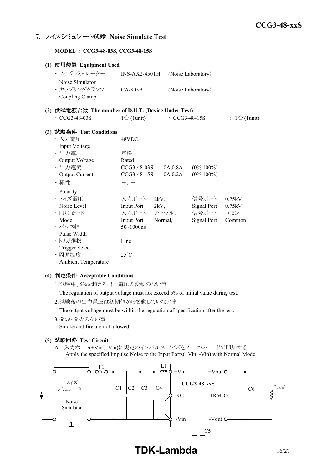#### **7.** ノイズシミュレート試験 **Noise Simulate Test**

**MODEL : CCG3-48-03S, CCG3-48-15S**

| (1) 使用装置 Equipment Used                             |                              |         |                     |                    |                              |
|-----------------------------------------------------|------------------------------|---------|---------------------|--------------------|------------------------------|
| ・ ノイズシミュレーター                                        | $:$ INS-AX2-450TH            |         |                     | (Noise Laboratory) |                              |
| Noise Simulator                                     |                              |         |                     |                    |                              |
| · カップリングクランプ : CA-805B                              |                              |         |                     | (Noise Laboratory) |                              |
| Coupling Clamp                                      |                              |         |                     |                    |                              |
| (2) 供試電源台数 The number of D.U.T. (Device Under Test) |                              |         |                     |                    |                              |
| $\cdot$ CCG3-48-03S                                 | : $1 \oplus (1 \text{unit})$ |         | $\cdot$ CCG3-48-15S |                    | : $1 \oplus (1 \text{unit})$ |
| (3) 試験条件 Test Conditions                            |                              |         |                     |                    |                              |
| ・入力電圧                                               | : 48VDC                      |         |                     |                    |                              |
| Input Voltage                                       |                              |         |                     |                    |                              |
| ・出力電圧                                               | : 定格                         |         |                     |                    |                              |
| Output Voltage                                      | Rated                        |         |                     |                    |                              |
| · 出力電流                                              | $\therefore$ CCG3-48-03S     |         | 0A,0.8A             | $(0\%, 100\%)$     |                              |
| Output Current                                      | CCG3-48-15S                  |         | 0A,0.2A             | $(0\%, 100\%)$     |                              |
| ・極性                                                 | $: +,-$                      |         |                     |                    |                              |
| Polarity                                            |                              |         |                     |                    |                              |
| ・ノイズ雷圧                                              | : 入力ポート                      | 2kV     |                     | 信号ポート              | 0.75kV                       |
| Noise Level                                         | Input Port 2kV,              |         |                     | Signal Port        | 0.75kV                       |
| ・印加モード                                              | : 入力ポート ノーマル、                |         |                     | 信号ポート              | コモン                          |
| Mode                                                | <b>Input Port</b>            | Normal, |                     | Signal Port        | Common                       |
| ・パルス幅                                               | : $50 \sim 1000$ ns          |         |                     |                    |                              |
| Pulse Width                                         |                              |         |                     |                    |                              |
| ・トリガ選択                                              | : Line                       |         |                     |                    |                              |
| <b>Trigger Select</b>                               |                              |         |                     |                    |                              |
| · 周囲温度                                              | $: 25^{\circ}C$              |         |                     |                    |                              |
| <b>Ambient Temperature</b>                          |                              |         |                     |                    |                              |

#### **(4)** 判定条件 **Acceptable Conditions**

1.試験中、5%を超える出力電圧の変動のない事

The regulation of output voltage must not exceed 5% of initial value during test.

2.試験後の出力電圧は初期値から変動していない事

The output voltage must be within the regulation of specification after the test.

3.発煙・発火のない事

Smoke and fire are not allowed.

#### **(5)** 試験回路 **Test Circuit**

A. 入力ポート(+Vin、-Vin)に規定のインパルス・ノイズをノーマルモードで印加する Apply the specified Impulse Noise to the Input Ports(+Vin, -Vin) with Normal Mode.



**TDK-Lambda** 16/27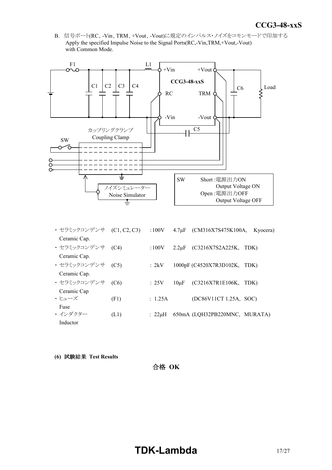*INSTRUCTION MANUAL* B. 信号ポート(RC、-Vin、TRM、+Vout、-Vout)に規定のインパルス・ノイズをコモンモードで印加する Apply the specified Impulse Noise to the Signal Ports(RC,-Vin,TRM,+Vout,-Vout) with Common Mode.



| ・ セラミックコンデンサ     | (C1, C2, C3) | :100V   | $4.7 \mu F$ | $(CM316X7S475K100A,$ Kyocera) |      |
|------------------|--------------|---------|-------------|-------------------------------|------|
| Ceramic Cap.     |              |         |             |                               |      |
| ・セラミックコンデンサ (C4) |              | :100V   | $2.2 \mu F$ | (C3216X7S2A225K,              | TDK) |
| Ceramic Cap.     |              |         |             |                               |      |
| ・セラミックコンデンサ (C5) |              | : 2kV   |             | 1000pF (C4520X7R3D102K,       | TDK) |
| Ceramic Cap.     |              |         |             |                               |      |
| ・ セラミックコンデンサ     | (C6)         | :25V    | $10\mu F$   | (C3216X7R1E106K,              | TDK) |
| Ceramic Cap      |              |         |             |                               |      |
| ・ヒューズ            | (F1)         | : 1.25A |             | (DC86V11CT 1.25A, SOC)        |      |
| Fuse             |              |         |             |                               |      |
| ・インダクター          | (L1)         | : 22uH  |             | 650mA (LQH32PB220MNC, MURATA) |      |
| Inductor         |              |         |             |                               |      |

**(6)** 試験結果 **Test Results**

合格 **OK**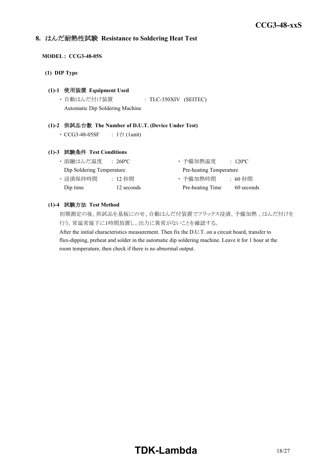#### **8.** はんだ耐熱性試験 **Resistance to Soldering Heat Test**

#### **MODEL : CCG3-48-05S**

**(1) DIP Type**

#### **(1)-1** 使用装置 **Equipment Used**

・ 自動はんだ付け装置 : TLC-350XIV (SEITEC) Automatic Dip Soldering Machine

#### **(1)-2** 供試品台数 **The Number of D.U.T. (Device Under Test)**

•  $CCG3-48-05SF$  :  $1$ 台 $(1unit)$ 

#### **(1)-3** 試験条件 **Test Conditions**

| ・溶融はんだ温度                  | $\div 260^{\circ}$ C | ・予備加熱温度                 | $\therefore$ 120 <sup>o</sup> C |
|---------------------------|----------------------|-------------------------|---------------------------------|
| Dip Soldering Temperature |                      | Pre-heating Temperature |                                 |
| ・浸漬保持時間                   | : 12 秒間              | ・予備加熱時間                 | : 60 秒間                         |
| Dip time                  | 12 seconds           | Pre-heating Time        | 60 seconds                      |

#### **(1)-4** 試験方法 **Test Method**

初期測定の後、供試品を基板にのせ、自動はんだ付装置でフラックス浸漬、予備加熱 、はんだ付けを 行う。常温常湿下に1時間放置し、出力に異常がないことを確認する。

After the initial characteristics measurement. Then fix the D.U.T. on a circuit board, transfer to flux-dipping, preheat and solder in the automatic dip soldering machine. Leave it for 1 hour at the room temperature, then check if there is no abnormal output.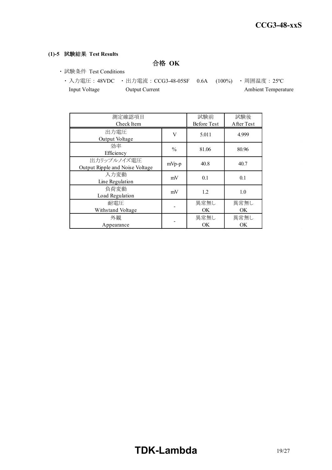#### **(1)-5** 試験結果 **Test Results**

合格 **OK**

- ・ 試験条件 Test Conditions
	- 入力電圧 : 48VDC 出力電流 : CCG3-48-05SF 0.6A (100%) 周囲温度 : 25℃ Input Voltage Output Current Ambient Temperature

| 測定確認項目<br>Check Item                           |               | 試験前<br><b>Before Test</b> | 試験後<br>After Test |
|------------------------------------------------|---------------|---------------------------|-------------------|
| 出力電圧<br>Output Voltage                         | V             | 5.011                     | 4.999             |
| 効率<br>Efficiency                               | $\frac{0}{0}$ | 81.06                     | 80.96             |
| 出力リップルノイズ電圧<br>Output Ripple and Noise Voltage | mVp-p         | 40.8                      | 40.7              |
| 入力変動<br>Line Regulation                        | mV            | 0.1                       | 0.1               |
| 負荷変動<br>Load Regulation                        | mV            | 1.2                       | 1.0               |
| 耐雷圧<br>Withstand Voltage                       |               | 異常無し<br>OK                | 異常無し<br>OK.       |
| 外観<br>Appearance                               |               | 異常無し<br>OK                | 異常無し<br>OK.       |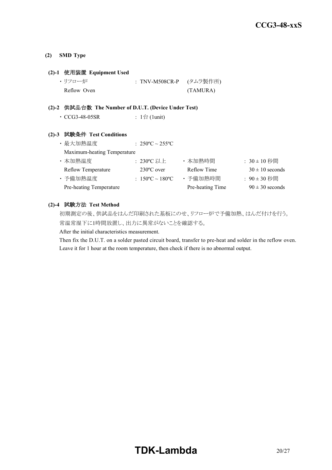#### **(2) SMD Type**

#### **(2)-1** 使用装置 **Equipment Used**

| ・リフロー炉      | : TNV-M508CR-P (タムラ製作所) |          |
|-------------|-------------------------|----------|
| Reflow Oven |                         | (TAMURA) |

#### **(2)-2** 供試品台数 **The Number of D.U.T. (Device Under Test)**

| $\cdot$ CCG3-48-05SR | : 1台 (1unit) |
|----------------------|--------------|
|----------------------|--------------|

#### **(2)-3** 試験条件 **Test Conditions**

| ・最大加熱温度                     | : $250^{\circ}$ C ~ $255^{\circ}$ C |                  |                     |
|-----------------------------|-------------------------------------|------------------|---------------------|
| Maximum-heating Temperature |                                     |                  |                     |
| ・本加熱温度                      | : 230°C 以上                          | ・本加熱時間           | $: 30 \pm 10$ 秒間    |
| <b>Reflow Temperature</b>   | $230^{\circ}$ C over                | Reflow Time      | $30 \pm 10$ seconds |
| ・予備加熱温度                     | : $150^{\circ}$ C ~ $180^{\circ}$ C | ・予備加熱時間          | : 90±30 秒間          |
| Pre-heating Temperature     |                                     | Pre-heating Time | $90 \pm 30$ seconds |

#### **(2)-4** 試験方法 **Test Method**

初期測定の後、供試品をはんだ印刷された基板にのせ、リフロー炉で予備加熱、はんだ付けを行う。 常温常湿下に1時間放置し、出力に異常がないことを確認する。

After the initial characteristics measurement.

Then fix the D.U.T. on a solder pasted circuit board, transfer to pre-heat and solder in the reflow oven. Leave it for 1 hour at the room temperature, then check if there is no abnormal output.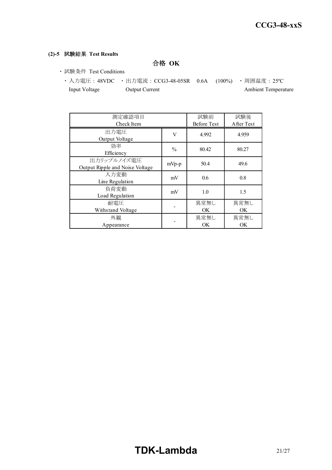#### **(2)-5** 試験結果 **Test Results**

合格 **OK**

- ・ 試験条件 Test Conditions
	- 入力電圧 : 48VDC 出力電流 : CCG3-48-05SR 0.6A (100%) 周囲温度 : 25℃ Input Voltage Output Current Ambient Temperature

| 測定確認項目<br>Check Item                           |               | 試験前<br><b>Before Test</b> | 試験後<br>After Test |
|------------------------------------------------|---------------|---------------------------|-------------------|
| 出力電圧<br>Output Voltage                         | V             | 4.992                     | 4.959             |
| 効率<br>Efficiency                               | $\frac{0}{0}$ | 80.42                     | 80.27             |
| 出力リップルノイズ電圧<br>Output Ripple and Noise Voltage | mVp-p         | 50.4                      | 49.6              |
| 入力変動<br>Line Regulation                        | mV            | 0.6                       | 0.8               |
| 負荷変動<br>Load Regulation                        | mV            | 1.0                       | 1.5               |
| 耐雷圧<br>Withstand Voltage                       |               | 異常無し<br>OK                | 異常無し<br>OK.       |
| 外観<br>Appearance                               |               | 異常無し<br>OK                | 異常無し<br>OK.       |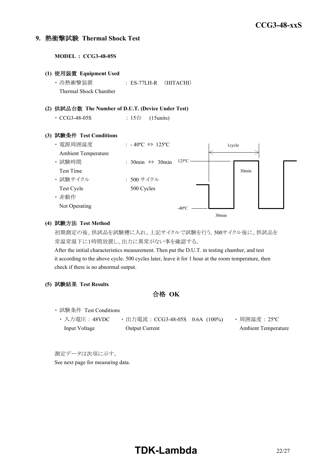#### **9.** 熱衝撃試験 **Thermal Shock Test**

**MODEL : CCG3-48-05S (1)** 使用装置 **Equipment Used** ・ 冷熱衝撃装置 : ES-77LH-R (HITACHI) Thermal Shock Chamber **(2)** 供試品台数 **The Number of D.U.T. (Device Under Test)** • CCG3-48-05S : 15台 (15units) **(3)** 試験条件 **Test Conditions** ・電源周囲温度 : -40℃ ⇔ 125℃ Ambient Temperature ・ 試験時間 : 30min ⇔ 30min Test Time ・ 試験サイクル : 500 サイクル Test Cycle 500 Cycles ・ 非動作 Not Operating 1cycle 30min  $-40^{\circ}$ C  $-$ 125ºC

#### **(4)** 試験方法 **Test Method**

初期測定の後、供試品を試験槽に入れ、上記サイクルで試験を行う。500サイクル後に、供試品を 常温常湿下に1時間放置し、出力に異常がない事を確認する。

30min

After the initial characteristics measurement. Then put the D.U.T. in testing chamber, and test it according to the above cycle. 500 cycles later, leave it for 1 hour at the room temperature, then check if there is no abnormal output.

#### **(5)** 試験結果 **Test Results**

合格 **OK**

- ・ 試験条件 Test Conditions
	- 入力電圧 : 48VDC 出力電流 : CCG3-48-05S 0.6A (100%) 周囲温度 : 25℃ Input Voltage Output Current Ambient Temperature

測定データは次項に示す。 See next page for measuring data.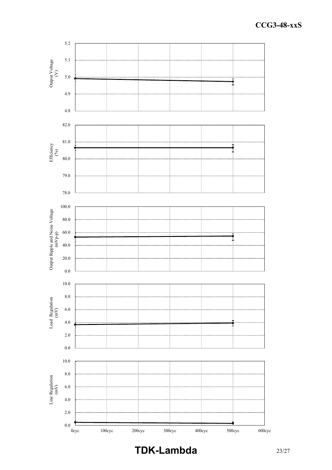

## **TDK-Lambda** 23/27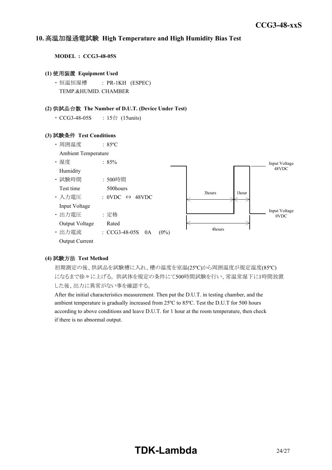#### *INSTRUCTION MANUAL* **10.** 高温加湿通電試験 **High Temperature and High Humidity Bias Test**

**MODEL : CCG3-48-05S**

#### **(1)** 使用装置 **Equipment Used**

・ 恒温恒湿槽 : PR-1KH (ESPEC) TEMP.&HUMID. CHAMBER

#### **(2)** 供試品台数 **The Number of D.U.T. (Device Under Test)**

• CCG3-48-05S : 15台 (15units)

#### **(3)** 試験条件 **Test Conditions**



#### **(4)** 試験方法 **Test Method**

初期測定の後、供試品を試験槽に入れ、槽の温度を室温(25ºC)から周囲温度が規定温度(85ºC) になるまで徐々に上げる。 供試体を規定の条件にて500時間試験を行い、常温常湿下に1時間放置 した後、出力に異常がない事を確認する。

After the initial characteristics measurement. Then put the D.U.T. in testing chamber, and the ambient temperature is gradually increased from 25ºC to 85ºC. Test the D.U.T for 500 hours according to above conditions and leave D.U.T. for 1 hour at the room temperature, then check if there is no abnormal output.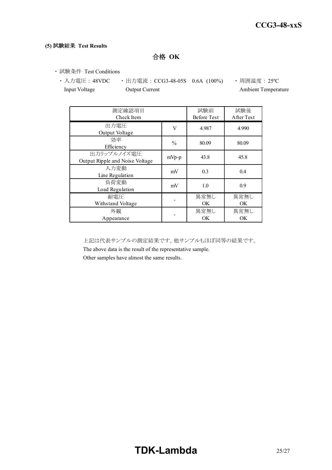#### **(5)** 試験結果 **Test Results**

合格 **OK**

・ 試験条件 Test Conditions

• 入力電圧 : 48VDC • 出力電流 : CCG3-48-05S 0.6A (100%) • 周囲温度 : 25℃ Input Voltage **Output Current Ambient Temperature** Ambient Temperature

| 測定確認項目<br>Check Item                           |               | 試験前<br><b>Before Test</b> | 試験後<br>After Test |
|------------------------------------------------|---------------|---------------------------|-------------------|
| 出力電圧<br>Output Voltage                         | V             | 4.987                     | 4.990             |
| 効率<br>Efficiency                               | $\frac{0}{0}$ | 80.09                     | 80.09             |
| 出力リップルノイズ電圧<br>Output Ripple and Noise Voltage | $mVp-p$       | 43.8                      | 45.8              |
| 入力変動<br>Line Regulation                        | mV            | 0.3                       | 0.4               |
| 負荷変動<br>Load Regulation                        | mV            | 1.0                       | 0.9               |
| 耐雷圧<br>Withstand Voltage                       |               | 異常無し<br>OK.               | 異常無し<br>OK.       |
| 外観<br>Appearance                               |               | 異常無し<br>OK                | 異常無し<br>OK        |

上記は代表サンプルの測定結果です。他サンプルもほぼ同等の結果です。

The above data is the result of the representative sample.

Other samples have almost the same results.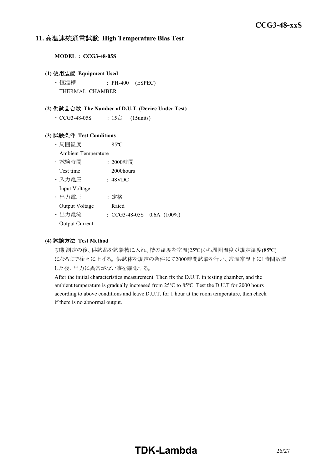#### **11.** 高温連続通電試験 **High Temperature Bias Test**

**MODEL : CCG3-48-05S**

#### **(1)** 使用装置 **Equipment Used**

• 恒温槽 : PH-400 (ESPEC) THERMAL CHAMBER

#### **(2)** 供試品台数 **The Number of D.U.T. (Device Under Test)**

• CCG3-48-05S : 15台 (15units)

#### **(3)** 試験条件 **Test Conditions**

- ・ 周囲温度 : 85ºC
- Ambient Temperature
- ・ 試験時間 : 2000時間
- Test time 2000 hours
- ・ 入力電圧 : 48VDC

Input Voltage

- ・ 出力電圧 : 定格 Output Voltage Rated
- ・ 出力電流 : CCG3-48-05S 0.6A (100%)

Output Current

#### **(4)** 試験方法 **Test Method**

初期測定の後、供試品を試験槽に入れ、槽の温度を室温(25ºC)から周囲温度が規定温度(85ºC) になるまで徐々に上げる。 供試体を規定の条件にて2000時間試験を行い、常温常湿下に1時間放置 した後、出力に異常がない事を確認する。

After the initial characteristics measurement. Then fix the D.U.T. in testing chamber, and the ambient temperature is gradually increased from 25ºC to 85ºC. Test the D.U.T for 2000 hours according to above conditions and leave D.U.T. for 1 hour at the room temperature, then check if there is no abnormal output.